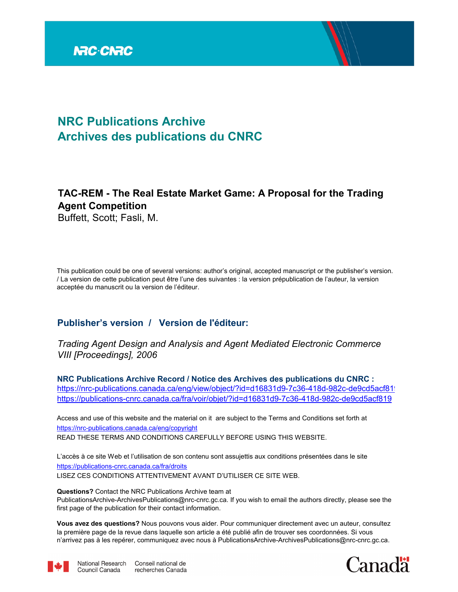

# **NRC Publications Archive Archives des publications du CNRC**

## **TAC-REM - The Real Estate Market Game: A Proposal for the Trading Agent Competition**

Buffett, Scott; Fasli, M.

This publication could be one of several versions: author's original, accepted manuscript or the publisher's version. / La version de cette publication peut être l'une des suivantes : la version prépublication de l'auteur, la version acceptée du manuscrit ou la version de l'éditeur.

## **Publisher's version / Version de l'éditeur:**

*Trading Agent Design and Analysis and Agent Mediated Electronic Commerce VIII [Proceedings], 2006*

**NRC Publications Archive Record / Notice des Archives des publications du CNRC :** https://nrc-publications.canada.ca/eng/view/object/?id=d16831d9-7c36-418d-982c-de9cd5acf81! https://publications-cnrc.canada.ca/fra/voir/objet/?id=d16831d9-7c36-418d-982c-de9cd5acf819

READ THESE TERMS AND CONDITIONS CAREFULLY BEFORE USING THIS WEBSITE. https://nrc-publications.canada.ca/eng/copyright Access and use of this website and the material on it are subject to the Terms and Conditions set forth at

https://publications-cnrc.canada.ca/fra/droits L'accès à ce site Web et l'utilisation de son contenu sont assujettis aux conditions présentées dans le site LISEZ CES CONDITIONS ATTENTIVEMENT AVANT D'UTILISER CE SITE WEB.

**Questions?** Contact the NRC Publications Archive team at

PublicationsArchive-ArchivesPublications@nrc-cnrc.gc.ca. If you wish to email the authors directly, please see the first page of the publication for their contact information.

**Vous avez des questions?** Nous pouvons vous aider. Pour communiquer directement avec un auteur, consultez la première page de la revue dans laquelle son article a été publié afin de trouver ses coordonnées. Si vous n'arrivez pas à les repérer, communiquez avec nous à PublicationsArchive-ArchivesPublications@nrc-cnrc.gc.ca.



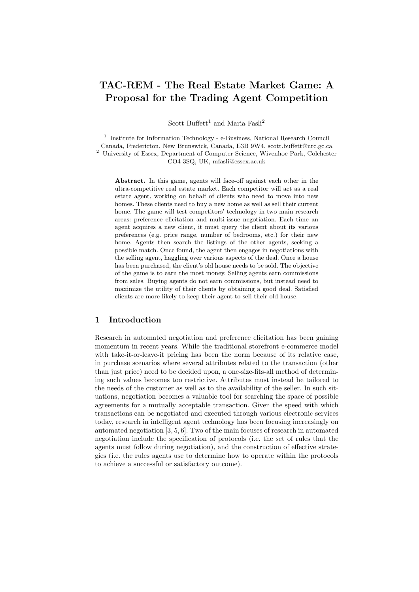## TAC-REM - The Real Estate Market Game: A Proposal for the Trading Agent Competition

Scott Buffett<sup>1</sup> and Maria Fasli<sup>2</sup>

<sup>1</sup> Institute for Information Technology - e-Business, National Research Council

Canada, Fredericton, New Brunswick, Canada, E3B 9W4, scott.buffett@nrc.gc.ca <sup>2</sup> University of Essex, Department of Computer Science, Wivenhoe Park, Colchester

CO4 3SQ, UK, mfasli@essex.ac.uk

Abstract. In this game, agents will face-off against each other in the ultra-competitive real estate market. Each competitor will act as a real estate agent, working on behalf of clients who need to move into new homes. These clients need to buy a new home as well as sell their current home. The game will test competitors' technology in two main research areas: preference elicitation and multi-issue negotiation. Each time an agent acquires a new client, it must query the client about its various preferences (e.g. price range, number of bedrooms, etc.) for their new home. Agents then search the listings of the other agents, seeking a possible match. Once found, the agent then engages in negotiations with the selling agent, haggling over various aspects of the deal. Once a house has been purchased, the client's old house needs to be sold. The objective of the game is to earn the most money. Selling agents earn commissions from sales. Buying agents do not earn commissions, but instead need to maximize the utility of their clients by obtaining a good deal. Satisfied clients are more likely to keep their agent to sell their old house.

## 1 Introduction

Research in automated negotiation and preference elicitation has been gaining momentum in recent years. While the traditional storefront e-commerce model with take-it-or-leave-it pricing has been the norm because of its relative ease, in purchase scenarios where several attributes related to the transaction (other than just price) need to be decided upon, a one-size-fits-all method of determining such values becomes too restrictive. Attributes must instead be tailored to the needs of the customer as well as to the availability of the seller. In such situations, negotiation becomes a valuable tool for searching the space of possible agreements for a mutually acceptable transaction. Given the speed with which transactions can be negotiated and executed through various electronic services today, research in intelligent agent technology has been focusing increasingly on automated negotiation [3, 5, 6]. Two of the main focuses of research in automated negotiation include the specification of protocols (i.e. the set of rules that the agents must follow during negotiation), and the construction of effective strategies (i.e. the rules agents use to determine how to operate within the protocols to achieve a successful or satisfactory outcome).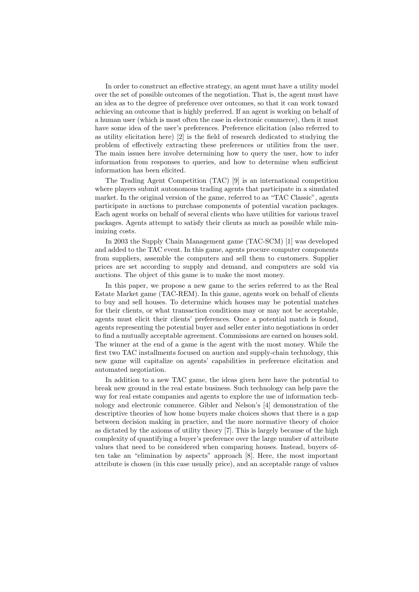In order to construct an effective strategy, an agent must have a utility model over the set of possible outcomes of the negotiation. That is, the agent must have an idea as to the degree of preference over outcomes, so that it can work toward achieving an outcome that is highly preferred. If an agent is working on behalf of a human user (which is most often the case in electronic commerce), then it must have some idea of the user's preferences. Preference elicitation (also referred to as utility elicitation here) [2] is the field of research dedicated to studying the problem of effectively extracting these preferences or utilities from the user. The main issues here involve determining how to query the user, how to infer information from responses to queries, and how to determine when sufficient information has been elicited.

The Trading Agent Competition (TAC) [9] is an international competition where players submit autonomous trading agents that participate in a simulated market. In the original version of the game, referred to as "TAC Classic", agents participate in auctions to purchase components of potential vacation packages. Each agent works on behalf of several clients who have utilities for various travel packages. Agents attempt to satisfy their clients as much as possible while minimizing costs.

In 2003 the Supply Chain Management game (TAC-SCM) [1] was developed and added to the TAC event. In this game, agents procure computer components from suppliers, assemble the computers and sell them to customers. Supplier prices are set according to supply and demand, and computers are sold via auctions. The object of this game is to make the most money.

In this paper, we propose a new game to the series referred to as the Real Estate Market game (TAC-REM). In this game, agents work on behalf of clients to buy and sell houses. To determine which houses may be potential matches for their clients, or what transaction conditions may or may not be acceptable, agents must elicit their clients' preferences. Once a potential match is found, agents representing the potential buyer and seller enter into negotiations in order to find a mutually acceptable agreement. Commissions are earned on houses sold. The winner at the end of a game is the agent with the most money. While the first two TAC installments focused on auction and supply-chain technology, this new game will capitalize on agents' capabilities in preference elicitation and automated negotiation.

In addition to a new TAC game, the ideas given here have the potential to break new ground in the real estate business. Such technology can help pave the way for real estate companies and agents to explore the use of information technology and electronic commerce. Gibler and Nelson's [4] demonstration of the descriptive theories of how home buyers make choices shows that there is a gap between decision making in practice, and the more normative theory of choice as dictated by the axioms of utility theory [7]. This is largely because of the high complexity of quantifying a buyer's preference over the large number of attribute values that need to be considered when comparing houses. Instead, buyers often take an "elimination by aspects" approach [8]. Here, the most important attribute is chosen (in this case usually price), and an acceptable range of values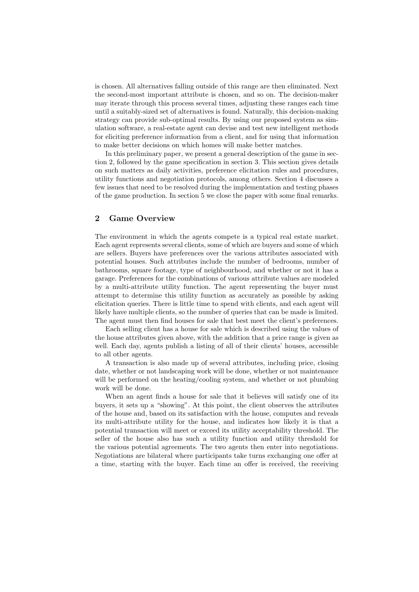is chosen. All alternatives falling outside of this range are then eliminated. Next the second-most important attribute is chosen, and so on. The decision-maker may iterate through this process several times, adjusting these ranges each time until a suitably-sized set of alternatives is found. Naturally, this decision-making strategy can provide sub-optimal results. By using our proposed system as simulation software, a real-estate agent can devise and test new intelligent methods for eliciting preference information from a client, and for using that information to make better decisions on which homes will make better matches.

In this preliminary paper, we present a general description of the game in section 2, followed by the game specification in section 3. This section gives details on such matters as daily activities, preference elicitation rules and procedures, utility functions and negotiation protocols, among others. Section 4 discusses a few issues that need to be resolved during the implementation and testing phases of the game production. In section 5 we close the paper with some final remarks.

## 2 Game Overview

The environment in which the agents compete is a typical real estate market. Each agent represents several clients, some of which are buyers and some of which are sellers. Buyers have preferences over the various attributes associated with potential houses. Such attributes include the number of bedrooms, number of bathrooms, square footage, type of neighbourhood, and whether or not it has a garage. Preferences for the combinations of various attribute values are modeled by a multi-attribute utility function. The agent representing the buyer must attempt to determine this utility function as accurately as possible by asking elicitation queries. There is little time to spend with clients, and each agent will likely have multiple clients, so the number of queries that can be made is limited. The agent must then find houses for sale that best meet the client's preferences.

Each selling client has a house for sale which is described using the values of the house attributes given above, with the addition that a price range is given as well. Each day, agents publish a listing of all of their clients' houses, accessible to all other agents.

A transaction is also made up of several attributes, including price, closing date, whether or not landscaping work will be done, whether or not maintenance will be performed on the heating/cooling system, and whether or not plumbing work will be done.

When an agent finds a house for sale that it believes will satisfy one of its buyers, it sets up a "showing". At this point, the client observes the attributes of the house and, based on its satisfaction with the house, computes and reveals its multi-attribute utility for the house, and indicates how likely it is that a potential transaction will meet or exceed its utility acceptability threshold. The seller of the house also has such a utility function and utility threshold for the various potential agreements. The two agents then enter into negotiations. Negotiations are bilateral where participants take turns exchanging one offer at a time, starting with the buyer. Each time an offer is received, the receiving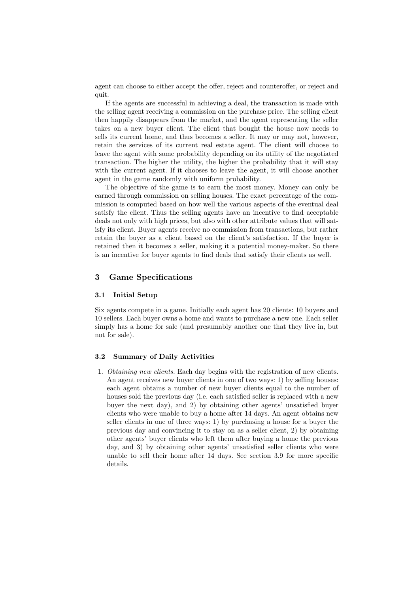agent can choose to either accept the offer, reject and counteroffer, or reject and quit.

If the agents are successful in achieving a deal, the transaction is made with the selling agent receiving a commission on the purchase price. The selling client then happily disappears from the market, and the agent representing the seller takes on a new buyer client. The client that bought the house now needs to sells its current home, and thus becomes a seller. It may or may not, however, retain the services of its current real estate agent. The client will choose to leave the agent with some probability depending on its utility of the negotiated transaction. The higher the utility, the higher the probability that it will stay with the current agent. If it chooses to leave the agent, it will choose another agent in the game randomly with uniform probability.

The objective of the game is to earn the most money. Money can only be earned through commission on selling houses. The exact percentage of the commission is computed based on how well the various aspects of the eventual deal satisfy the client. Thus the selling agents have an incentive to find acceptable deals not only with high prices, but also with other attribute values that will satisfy its client. Buyer agents receive no commission from transactions, but rather retain the buyer as a client based on the client's satisfaction. If the buyer is retained then it becomes a seller, making it a potential money-maker. So there is an incentive for buyer agents to find deals that satisfy their clients as well.

#### 3 Game Specifications

#### 3.1 Initial Setup

Six agents compete in a game. Initially each agent has 20 clients: 10 buyers and 10 sellers. Each buyer owns a home and wants to purchase a new one. Each seller simply has a home for sale (and presumably another one that they live in, but not for sale).

#### 3.2 Summary of Daily Activities

1. Obtaining new clients. Each day begins with the registration of new clients. An agent receives new buyer clients in one of two ways: 1) by selling houses: each agent obtains a number of new buyer clients equal to the number of houses sold the previous day (i.e. each satisfied seller is replaced with a new buyer the next day), and 2) by obtaining other agents' unsatisfied buyer clients who were unable to buy a home after 14 days. An agent obtains new seller clients in one of three ways: 1) by purchasing a house for a buyer the previous day and convincing it to stay on as a seller client, 2) by obtaining other agents' buyer clients who left them after buying a home the previous day, and 3) by obtaining other agents' unsatisfied seller clients who were unable to sell their home after 14 days. See section 3.9 for more specific details.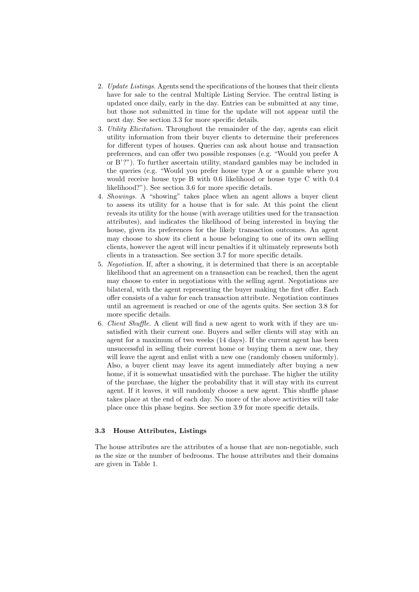- 2. Update Listings. Agents send the specifications of the houses that their clients have for sale to the central Multiple Listing Service. The central listing is updated once daily, early in the day. Entries can be submitted at any time, but those not submitted in time for the update will not appear until the next day. See section 3.3 for more specific details.
- 3. Utility Elicitation. Throughout the remainder of the day, agents can elicit utility information from their buyer clients to determine their preferences for different types of houses. Queries can ask about house and transaction preferences, and can offer two possible responses (e.g. "Would you prefer A or B'?"). To further ascertain utility, standard gambles may be included in the queries (e.g. "Would you prefer house type A or a gamble where you would receive house type B with 0.6 likelihood or house type C with 0.4 likelihood?"). See section 3.6 for more specific details.
- 4. Showings. A "showing" takes place when an agent allows a buyer client to assess its utility for a house that is for sale. At this point the client reveals its utility for the house (with average utilities used for the transaction attributes), and indicates the likelihood of being interested in buying the house, given its preferences for the likely transaction outcomes. An agent may choose to show its client a house belonging to one of its own selling clients, however the agent will incur penalties if it ultimately represents both clients in a transaction. See section 3.7 for more specific details.
- 5. Negotiation. If, after a showing, it is determined that there is an acceptable likelihood that an agreement on a transaction can be reached, then the agent may choose to enter in negotiations with the selling agent. Negotiations are bilateral, with the agent representing the buyer making the first offer. Each offer consists of a value for each transaction attribute. Negotiation continues until an agreement is reached or one of the agents quits. See section 3.8 for more specific details.
- 6. Client Shuffle. A client will find a new agent to work with if they are unsatisfied with their current one. Buyers and seller clients will stay with an agent for a maximum of two weeks (14 days). If the current agent has been unsuccessful in selling their current home or buying them a new one, they will leave the agent and enlist with a new one (randomly chosen uniformly). Also, a buyer client may leave its agent immediately after buying a new home, if it is somewhat unsatisfied with the purchase. The higher the utility of the purchase, the higher the probability that it will stay with its current agent. If it leaves, it will randomly choose a new agent. This shuffle phase takes place at the end of each day. No more of the above activities will take place once this phase begins. See section 3.9 for more specific details.

#### 3.3 House Attributes, Listings

The house attributes are the attributes of a house that are non-negotiable, such as the size or the number of bedrooms. The house attributes and their domains are given in Table 1.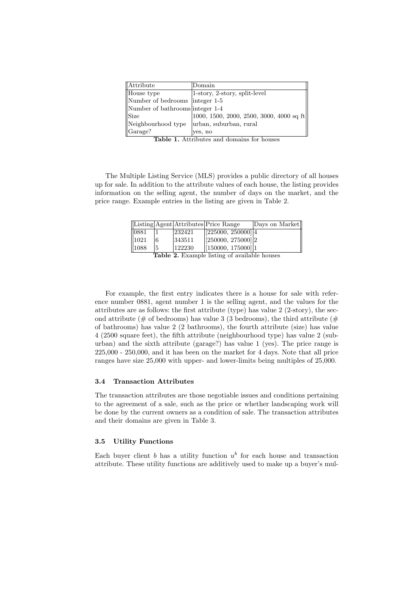| <b>Attribute</b>                                  | Domain                                                  |  |  |
|---------------------------------------------------|---------------------------------------------------------|--|--|
| House type                                        | 1-story, 2-story, split-level                           |  |  |
| Number of bedrooms integer 1-5                    |                                                         |  |  |
| Number of bathrooms integer 1-4                   |                                                         |  |  |
| Size                                              | $\left 1000, 1500, 2000, 2500, 3000, 4000\right $ sq ft |  |  |
|                                                   | Neighbourhood type   urban, suburban, rural             |  |  |
| $\Box$ Garage?                                    | yes, no                                                 |  |  |
| <b>Table 1.</b> Attributes and domains for houses |                                                         |  |  |

The Multiple Listing Service (MLS) provides a public directory of all houses up for sale. In addition to the attribute values of each house, the listing provides information on the selling agent, the number of days on the market, and the price range. Example entries in the listing are given in Table 2.

|               |   |        | Listing Agent Attributes Price Range | Days on Market |  |  |
|---------------|---|--------|--------------------------------------|----------------|--|--|
| $\sqrt{0881}$ |   | 232421 | $[225000, 250000]$ <sup>4</sup>      |                |  |  |
| $\ _{1021}$   | 6 | 343511 | $\big  250000, 275000 \big  2$       |                |  |  |
| $\ 1088$      | 5 | 122230 | [150000, 175000]                     |                |  |  |
|               |   |        |                                      |                |  |  |

Table 2. Example listing of available houses

For example, the first entry indicates there is a house for sale with reference number 0881, agent number 1 is the selling agent, and the values for the attributes are as follows: the first attribute (type) has value 2 (2-story), the second attribute ( $\#$  of bedrooms) has value 3 (3 bedrooms), the third attribute ( $\#$ of bathrooms) has value 2 (2 bathrooms), the fourth attribute (size) has value 4 (2500 square feet), the fifth attribute (neighbourhood type) has value 2 (suburban) and the sixth attribute (garage?) has value 1 (yes). The price range is 225,000 - 250,000, and it has been on the market for 4 days. Note that all price ranges have size 25,000 with upper- and lower-limits being multiples of 25,000.

### 3.4 Transaction Attributes

The transaction attributes are those negotiable issues and conditions pertaining to the agreement of a sale, such as the price or whether landscaping work will be done by the current owners as a condition of sale. The transaction attributes and their domains are given in Table 3.

#### 3.5 Utility Functions

Each buyer client  $b$  has a utility function  $u^b$  for each house and transaction attribute. These utility functions are additively used to make up a buyer's mul-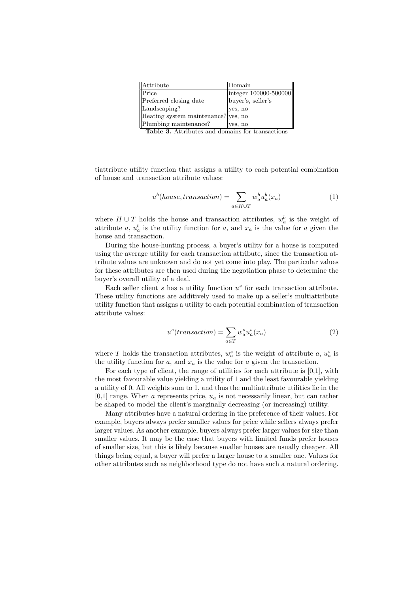| <i>Attribute</i>                    | Domain                    |
|-------------------------------------|---------------------------|
| Price                               | $ integer 100000-500000 $ |
| Preferred closing date              | buyer's, seller's         |
| $\vert$ Landscaping?                | yes, no                   |
| Heating system maintenance? yes, no |                           |
| Plumbing maintenance?               | ves, no                   |

Table 3. Attributes and domains for transactions

tiattribute utility function that assigns a utility to each potential combination of house and transaction attribute values:

$$
u^{b}(house, transaction) = \sum_{a \in H \cup T} w_{a}^{b} u_{a}^{b}(x_{a})
$$
 (1)

where  $H \cup T$  holds the house and transaction attributes,  $w_a^b$  is the weight of attribute a,  $u_a^b$  is the utility function for a, and  $x_a$  is the value for a given the house and transaction.

During the house-hunting process, a buyer's utility for a house is computed using the average utility for each transaction attribute, since the transaction attribute values are unknown and do not yet come into play. The particular values for these attributes are then used during the negotiation phase to determine the buyer's overall utility of a deal.

Each seller client  $s$  has a utility function  $u^s$  for each transaction attribute. These utility functions are additively used to make up a seller's multiattribute utility function that assigns a utility to each potential combination of transaction attribute values:

$$
u^s(transaction) = \sum_{a \in T} w_a^s u_a^s(x_a)
$$
 (2)

where T holds the transaction attributes,  $w_a^s$  is the weight of attribute a,  $u_a^s$  is the utility function for  $a$ , and  $x_a$  is the value for  $a$  given the transaction.

For each type of client, the range of utilities for each attribute is [0,1], with the most favourable value yielding a utility of 1 and the least favourable yielding a utility of 0. All weights sum to 1, and thus the multiattribute utilities lie in the [0,1] range. When a represents price,  $u_a$  is not necessarily linear, but can rather be shaped to model the client's marginally decreasing (or increasing) utility.

Many attributes have a natural ordering in the preference of their values. For example, buyers always prefer smaller values for price while sellers always prefer larger values. As another example, buyers always prefer larger values for size than smaller values. It may be the case that buyers with limited funds prefer houses of smaller size, but this is likely because smaller houses are usually cheaper. All things being equal, a buyer will prefer a larger house to a smaller one. Values for other attributes such as neighborhood type do not have such a natural ordering.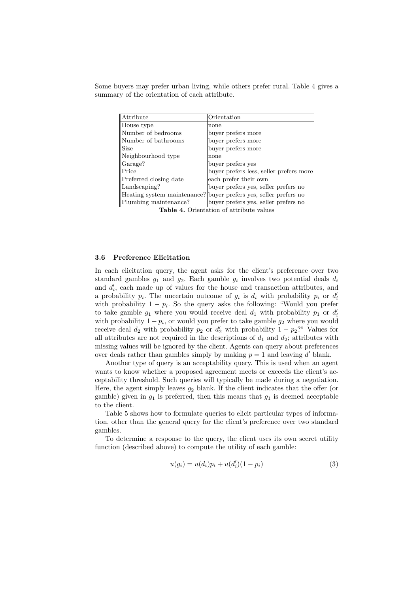Some buyers may prefer urban living, while others prefer rural. Table 4 gives a summary of the orientation of each attribute.

| Attribute              | Orientation                                                      |
|------------------------|------------------------------------------------------------------|
| House type             | none                                                             |
| Number of bedrooms     | buyer prefers more                                               |
| Number of bathrooms    | buyer prefers more                                               |
| Size                   | buyer prefers more                                               |
| Neighbourhood type     | none                                                             |
| Garage?                | buyer prefers yes                                                |
| Price                  | buyer prefers less, seller prefers more                          |
| Preferred closing date | each prefer their own                                            |
| Landscaping?           | buyer prefers yes, seller prefers no                             |
|                        | Heating system maintenance? buyer prefers yes, seller prefers no |
| Plumbing maintenance?  | buyer prefers yes, seller prefers no                             |

Table 4. Orientation of attribute values

#### 3.6 Preference Elicitation

In each elicitation query, the agent asks for the client's preference over two standard gambles  $g_1$  and  $g_2$ . Each gamble  $g_i$  involves two potential deals  $d_i$ and  $d'_{i}$ , each made up of values for the house and transaction attributes, and a probability  $p_i$ . The uncertain outcome of  $g_i$  is  $d_i$  with probability  $p_i$  or  $d'_i$ with probability  $1 - p_i$ . So the query asks the following: "Would you prefer to take gamble  $g_1$  where you would receive deal  $d_1$  with probability  $p_1$  or  $d'_i$ with probability  $1 - p_i$ , or would you prefer to take gamble  $g_2$  where you would receive deal  $d_2$  with probability  $p_2$  or  $d'_2$  with probability  $1 - p_2$ ?" Values for all attributes are not required in the descriptions of  $d_1$  and  $d_2$ ; attributes with missing values will be ignored by the client. Agents can query about preferences over deals rather than gambles simply by making  $p = 1$  and leaving d' blank.

Another type of query is an acceptability query. This is used when an agent wants to know whether a proposed agreement meets or exceeds the client's acceptability threshold. Such queries will typically be made during a negotiation. Here, the agent simply leaves  $g_2$  blank. If the client indicates that the offer (or gamble) given in  $g_1$  is preferred, then this means that  $g_1$  is deemed acceptable to the client.

Table 5 shows how to formulate queries to elicit particular types of information, other than the general query for the client's preference over two standard gambles.

To determine a response to the query, the client uses its own secret utility function (described above) to compute the utility of each gamble:

$$
u(g_i) = u(d_i)p_i + u(d_i')(1 - p_i)
$$
\n(3)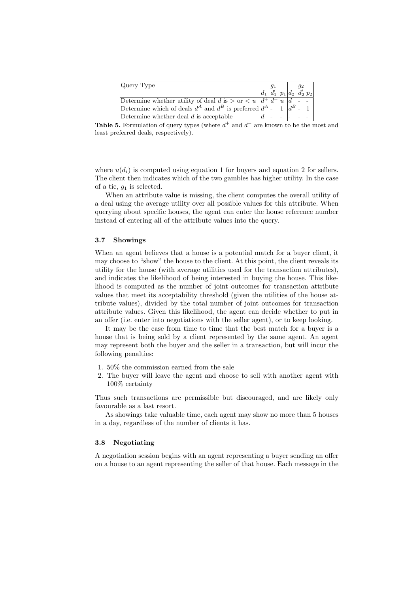| Query Type                                                                |  |                                                                                                   |  |  |  | $g_2$ |  |  |
|---------------------------------------------------------------------------|--|---------------------------------------------------------------------------------------------------|--|--|--|-------|--|--|
|                                                                           |  | $\begin{vmatrix} d_1 & d'_1 & p_1 \end{vmatrix}$ $\begin{vmatrix} d_2 & d'_2 & p_2 \end{vmatrix}$ |  |  |  |       |  |  |
| Determine whether utility of deal d is $>$ or $< u  d^+ d^- u  d$         |  |                                                                                                   |  |  |  |       |  |  |
| Determine which of deals $d^A$ and $d^B$ is preferred $d^A$ - 1 $d^B$ - 1 |  |                                                                                                   |  |  |  |       |  |  |
| Determine whether deal $d$ is acceptable                                  |  |                                                                                                   |  |  |  |       |  |  |

Table 5. Formulation of query types (where  $d^+$  and  $d^-$  are known to be the most and least preferred deals, respectively).

where  $u(d_i)$  is computed using equation 1 for buyers and equation 2 for sellers. The client then indicates which of the two gambles has higher utility. In the case of a tie,  $q_1$  is selected.

When an attribute value is missing, the client computes the overall utility of a deal using the average utility over all possible values for this attribute. When querying about specific houses, the agent can enter the house reference number instead of entering all of the attribute values into the query.

#### 3.7 Showings

When an agent believes that a house is a potential match for a buyer client, it may choose to "show" the house to the client. At this point, the client reveals its utility for the house (with average utilities used for the transaction attributes), and indicates the likelihood of being interested in buying the house. This likelihood is computed as the number of joint outcomes for transaction attribute values that meet its acceptability threshold (given the utilities of the house attribute values), divided by the total number of joint outcomes for transaction attribute values. Given this likelihood, the agent can decide whether to put in an offer (i.e. enter into negotiations with the seller agent), or to keep looking.

It may be the case from time to time that the best match for a buyer is a house that is being sold by a client represented by the same agent. An agent may represent both the buyer and the seller in a transaction, but will incur the following penalties:

- 1. 50% the commission earned from the sale
- 2. The buyer will leave the agent and choose to sell with another agent with 100% certainty

Thus such transactions are permissible but discouraged, and are likely only favourable as a last resort.

As showings take valuable time, each agent may show no more than 5 houses in a day, regardless of the number of clients it has.

#### 3.8 Negotiating

A negotiation session begins with an agent representing a buyer sending an offer on a house to an agent representing the seller of that house. Each message in the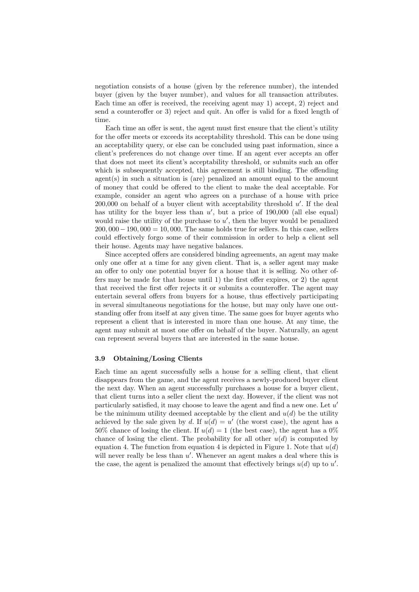negotiation consists of a house (given by the reference number), the intended buyer (given by the buyer number), and values for all transaction attributes. Each time an offer is received, the receiving agent may 1) accept, 2) reject and send a counteroffer or 3) reject and quit. An offer is valid for a fixed length of time.

Each time an offer is sent, the agent must first ensure that the client's utility for the offer meets or exceeds its acceptability threshold. This can be done using an acceptability query, or else can be concluded using past information, since a client's preferences do not change over time. If an agent ever accepts an offer that does not meet its client's acceptability threshold, or submits such an offer which is subsequently accepted, this agreement is still binding. The offending agent(s) in such a situation is (are) penalized an amount equal to the amount of money that could be offered to the client to make the deal acceptable. For example, consider an agent who agrees on a purchase of a house with price  $200,000$  on behalf of a buyer client with acceptability threshold  $u'$ . If the deal has utility for the buyer less than  $u'$ , but a price of 190,000 (all else equal) would raise the utility of the purchase to  $u'$ , then the buyer would be penalized  $200,000-190,000 = 10,000$ . The same holds true for sellers. In this case, sellers could effectively forgo some of their commission in order to help a client sell their house. Agents may have negative balances.

Since accepted offers are considered binding agreements, an agent may make only one offer at a time for any given client. That is, a seller agent may make an offer to only one potential buyer for a house that it is selling. No other offers may be made for that house until 1) the first offer expires, or 2) the agent that received the first offer rejects it or submits a counteroffer. The agent may entertain several offers from buyers for a house, thus effectively participating in several simultaneous negotiations for the house, but may only have one outstanding offer from itself at any given time. The same goes for buyer agents who represent a client that is interested in more than one house. At any time, the agent may submit at most one offer on behalf of the buyer. Naturally, an agent can represent several buyers that are interested in the same house.

#### 3.9 Obtaining/Losing Clients

Each time an agent successfully sells a house for a selling client, that client disappears from the game, and the agent receives a newly-produced buyer client the next day. When an agent successfully purchases a house for a buyer client, that client turns into a seller client the next day. However, if the client was not particularly satisfied, it may choose to leave the agent and find a new one. Let  $u'$ be the minimum utility deemed acceptable by the client and  $u(d)$  be the utility achieved by the sale given by d. If  $u(d) = u'$  (the worst case), the agent has a 50% chance of losing the client. If  $u(d) = 1$  (the best case), the agent has a 0% chance of losing the client. The probability for all other  $u(d)$  is computed by equation 4. The function from equation 4 is depicted in Figure 1. Note that  $u(d)$ will never really be less than  $u'$ . Whenever an agent makes a deal where this is the case, the agent is penalized the amount that effectively brings  $u(d)$  up to  $u'$ .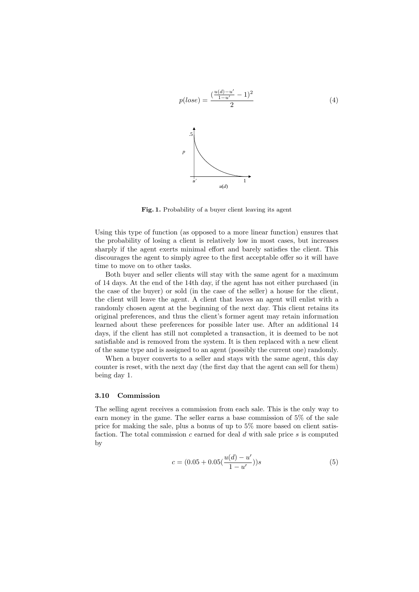

Fig. 1. Probability of a buyer client leaving its agent

Using this type of function (as opposed to a more linear function) ensures that the probability of losing a client is relatively low in most cases, but increases sharply if the agent exerts minimal effort and barely satisfies the client. This discourages the agent to simply agree to the first acceptable offer so it will have time to move on to other tasks.

Both buyer and seller clients will stay with the same agent for a maximum of 14 days. At the end of the 14th day, if the agent has not either purchased (in the case of the buyer) or sold (in the case of the seller) a house for the client, the client will leave the agent. A client that leaves an agent will enlist with a randomly chosen agent at the beginning of the next day. This client retains its original preferences, and thus the client's former agent may retain information learned about these preferences for possible later use. After an additional 14 days, if the client has still not completed a transaction, it is deemed to be not satisfiable and is removed from the system. It is then replaced with a new client of the same type and is assigned to an agent (possibly the current one) randomly.

When a buyer converts to a seller and stays with the same agent, this day counter is reset, with the next day (the first day that the agent can sell for them) being day 1.

#### 3.10 Commission

The selling agent receives a commission from each sale. This is the only way to earn money in the game. The seller earns a base commission of 5% of the sale price for making the sale, plus a bonus of up to 5% more based on client satisfaction. The total commission  $c$  earned for deal  $d$  with sale price  $s$  is computed by

$$
c = (0.05 + 0.05(\frac{u(d) - u'}{1 - u'}))s
$$
\n<sup>(5)</sup>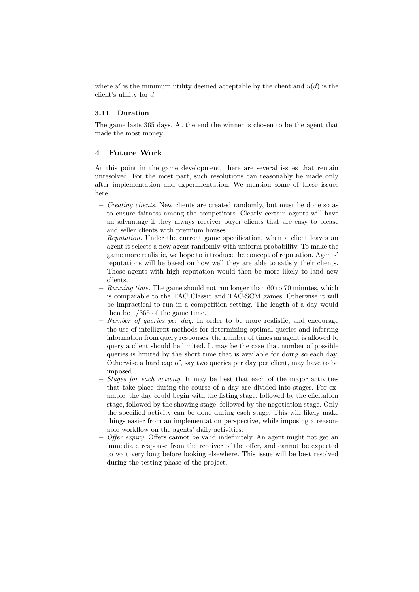where  $u'$  is the minimum utility deemed acceptable by the client and  $u(d)$  is the client's utility for d.

#### 3.11 Duration

The game lasts 365 days. At the end the winner is chosen to be the agent that made the most money.

## 4 Future Work

At this point in the game development, there are several issues that remain unresolved. For the most part, such resolutions can reasonably be made only after implementation and experimentation. We mention some of these issues here.

- $-$  Creating clients. New clients are created randomly, but must be done so as to ensure fairness among the competitors. Clearly certain agents will have an advantage if they always receiver buyer clients that are easy to please and seller clients with premium houses.
- Reputation. Under the current game specification, when a client leaves an agent it selects a new agent randomly with uniform probability. To make the game more realistic, we hope to introduce the concept of reputation. Agents' reputations will be based on how well they are able to satisfy their clients. Those agents with high reputation would then be more likely to land new clients.
- $-$  Running time. The game should not run longer than 60 to 70 minutes, which is comparable to the TAC Classic and TAC-SCM games. Otherwise it will be impractical to run in a competition setting. The length of a day would then be 1/365 of the game time.
- $-$  Number of queries per day. In order to be more realistic, and encourage the use of intelligent methods for determining optimal queries and inferring information from query responses, the number of times an agent is allowed to query a client should be limited. It may be the case that number of possible queries is limited by the short time that is available for doing so each day. Otherwise a hard cap of, say two queries per day per client, may have to be imposed.
- Stages for each activity. It may be best that each of the major activities that take place during the course of a day are divided into stages. For example, the day could begin with the listing stage, followed by the elicitation stage, followed by the showing stage, followed by the negotiation stage. Only the specified activity can be done during each stage. This will likely make things easier from an implementation perspective, while imposing a reasonable workflow on the agents' daily activities.
- $-$  *Offer expiry.* Offers cannot be valid indefinitely. An agent might not get an immediate response from the receiver of the offer, and cannot be expected to wait very long before looking elsewhere. This issue will be best resolved during the testing phase of the project.